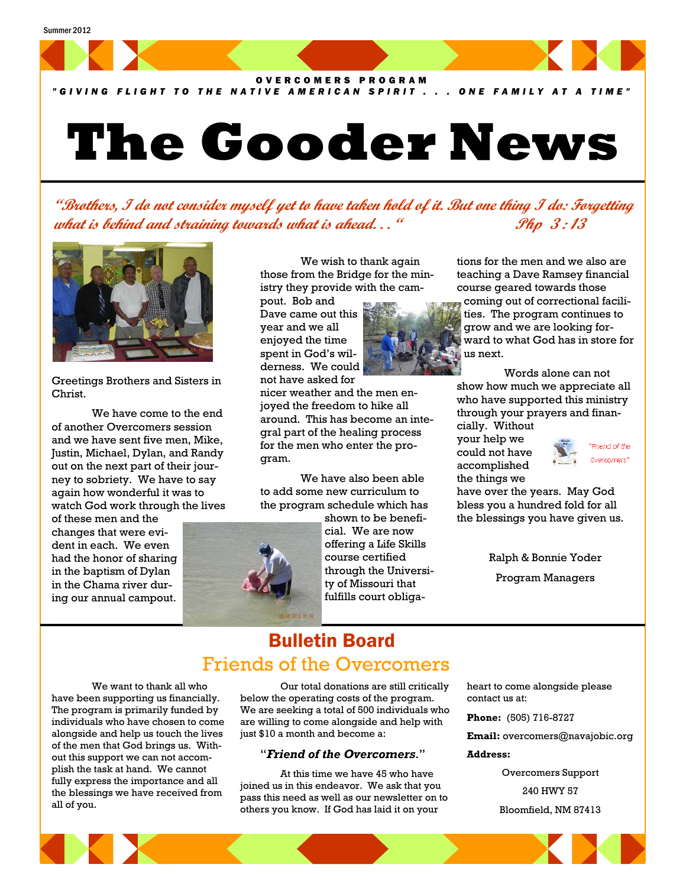

*"GIVING FLIGHT TO THE NATIVE AMERICAN SPIRIT . . . ONE FAMILY AT A TIME"*

# **The Gooder News**

**"Brothers, I do not consider myself yet to have taken hold of it. But one thing I do: Forgetting**  *what is behind and straining towards what is ahead...* **"** *Php 3:13* 



Greetings Brothers and Sisters in Christ.

 We have come to the end of another Overcomers session and we have sent five men, Mike, Justin, Michael, Dylan, and Randy out on the next part of their journey to sobriety. We have to say again how wonderful it was to watch God work through the lives

of these men and the changes that were evident in each. We even had the honor of sharing in the baptism of Dylan in the Chama river during our annual campout.

 We wish to thank again those from the Bridge for the ministry they provide with the cam-

pout. Bob and Dave came out this year and we all enjoyed the time spent in God's wilderness. We could not have asked for

nicer weather and the men enjoyed the freedom to hike all around. This has become an integral part of the healing process for the men who enter the program.

 We have also been able to add some new curriculum to the program schedule which has

> shown to be beneficial. We are now offering a Life Skills course certified through the University of Missouri that fulfills court obliga-



tions for the men and we also are teaching a Dave Ramsey financial course geared towards those coming out of correctional facilities. The program continues to

grow and we are looking forward to what God has in store for us next.

 Words alone can not show how much we appreciate all who have supported this ministry through your prayers and financially. Without

your help we could not have accomplished the things we



have over the years. May God bless you a hundred fold for all the blessings you have given us.

> Ralph & Bonnie Yoder Program Managers

## Bulletin Board Friends of the Overcomers

 We want to thank all who have been supporting us financially. The program is primarily funded by individuals who have chosen to come alongside and help us touch the lives of the men that God brings us. Without this support we can not accomplish the task at hand. We cannot fully express the importance and all the blessings we have received from all of you.

 Our total donations are still critically below the operating costs of the program. We are seeking a total of 500 individuals who are willing to come alongside and help with just \$10 a month and become a:

#### "*Friend of the Overcomers*."

At this time we have 45 who have joined us in this endeavor. We ask that you pass this need as well as our newsletter on to others you know. If God has laid it on your

heart to come alongside please contact us at:

**Phone:** (505) 716-8727

**Email:** overcomers@navajobic.org

#### **Address:**

Overcomers Support 240 HWY 57 Bloomfield, NM 87413